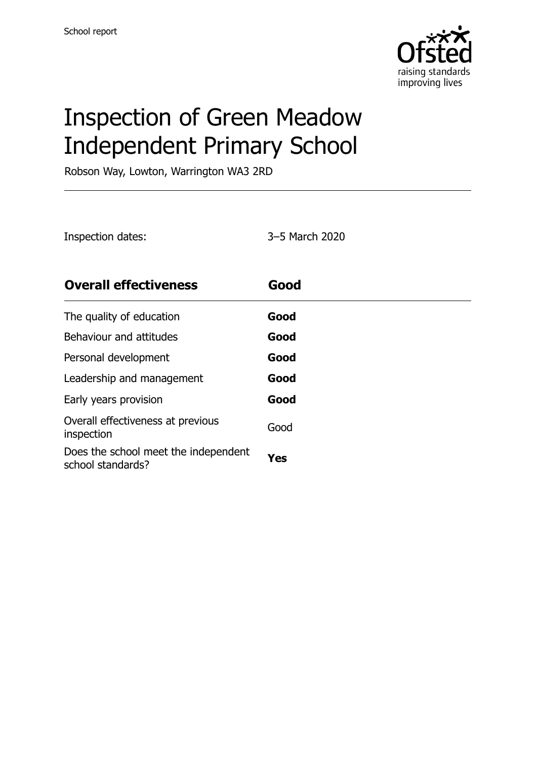

# Inspection of Green Meadow Independent Primary School

Robson Way, Lowton, Warrington WA3 2RD

| Inspection dates:                                         | 3-5 March 2020 |
|-----------------------------------------------------------|----------------|
| <b>Overall effectiveness</b>                              | Good           |
| The quality of education                                  | Good           |
| Behaviour and attitudes                                   | Good           |
| Personal development                                      | Good           |
| Leadership and management                                 | Good           |
| Early years provision                                     | Good           |
| Overall effectiveness at previous<br>inspection           | Good           |
| Does the school meet the independent<br>school standards? | Yes            |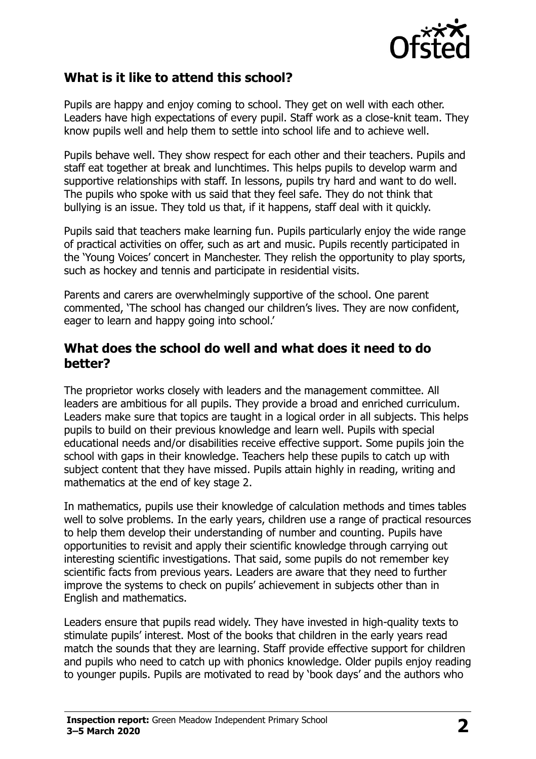

#### **What is it like to attend this school?**

Pupils are happy and enjoy coming to school. They get on well with each other. Leaders have high expectations of every pupil. Staff work as a close-knit team. They know pupils well and help them to settle into school life and to achieve well.

Pupils behave well. They show respect for each other and their teachers. Pupils and staff eat together at break and lunchtimes. This helps pupils to develop warm and supportive relationships with staff. In lessons, pupils try hard and want to do well. The pupils who spoke with us said that they feel safe. They do not think that bullying is an issue. They told us that, if it happens, staff deal with it quickly.

Pupils said that teachers make learning fun. Pupils particularly enjoy the wide range of practical activities on offer, such as art and music. Pupils recently participated in the 'Young Voices' concert in Manchester. They relish the opportunity to play sports, such as hockey and tennis and participate in residential visits.

Parents and carers are overwhelmingly supportive of the school. One parent commented, 'The school has changed our children's lives. They are now confident, eager to learn and happy going into school.'

#### **What does the school do well and what does it need to do better?**

The proprietor works closely with leaders and the management committee. All leaders are ambitious for all pupils. They provide a broad and enriched curriculum. Leaders make sure that topics are taught in a logical order in all subjects. This helps pupils to build on their previous knowledge and learn well. Pupils with special educational needs and/or disabilities receive effective support. Some pupils join the school with gaps in their knowledge. Teachers help these pupils to catch up with subject content that they have missed. Pupils attain highly in reading, writing and mathematics at the end of key stage 2.

In mathematics, pupils use their knowledge of calculation methods and times tables well to solve problems. In the early years, children use a range of practical resources to help them develop their understanding of number and counting. Pupils have opportunities to revisit and apply their scientific knowledge through carrying out interesting scientific investigations. That said, some pupils do not remember key scientific facts from previous years. Leaders are aware that they need to further improve the systems to check on pupils' achievement in subjects other than in English and mathematics.

Leaders ensure that pupils read widely. They have invested in high-quality texts to stimulate pupils' interest. Most of the books that children in the early years read match the sounds that they are learning. Staff provide effective support for children and pupils who need to catch up with phonics knowledge. Older pupils enjoy reading to younger pupils. Pupils are motivated to read by 'book days' and the authors who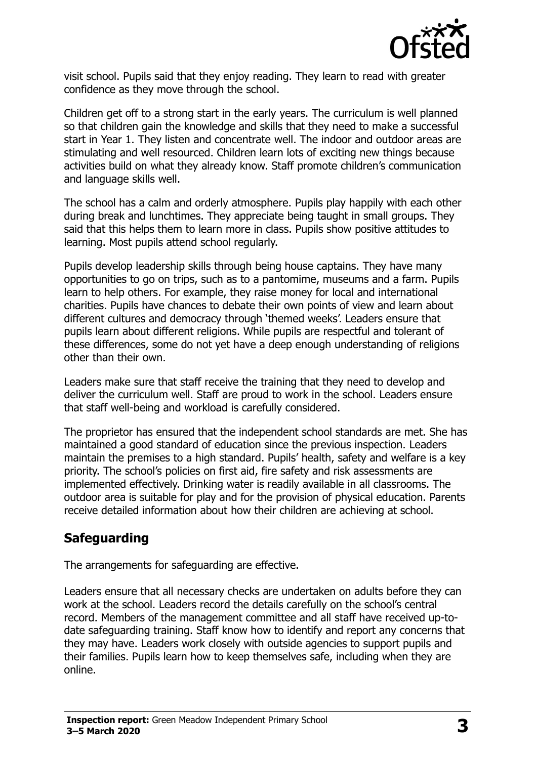

visit school. Pupils said that they enjoy reading. They learn to read with greater confidence as they move through the school.

Children get off to a strong start in the early years. The curriculum is well planned so that children gain the knowledge and skills that they need to make a successful start in Year 1. They listen and concentrate well. The indoor and outdoor areas are stimulating and well resourced. Children learn lots of exciting new things because activities build on what they already know. Staff promote children's communication and language skills well.

The school has a calm and orderly atmosphere. Pupils play happily with each other during break and lunchtimes. They appreciate being taught in small groups. They said that this helps them to learn more in class. Pupils show positive attitudes to learning. Most pupils attend school regularly.

Pupils develop leadership skills through being house captains. They have many opportunities to go on trips, such as to a pantomime, museums and a farm. Pupils learn to help others. For example, they raise money for local and international charities. Pupils have chances to debate their own points of view and learn about different cultures and democracy through 'themed weeks'. Leaders ensure that pupils learn about different religions. While pupils are respectful and tolerant of these differences, some do not yet have a deep enough understanding of religions other than their own.

Leaders make sure that staff receive the training that they need to develop and deliver the curriculum well. Staff are proud to work in the school. Leaders ensure that staff well-being and workload is carefully considered.

The proprietor has ensured that the independent school standards are met. She has maintained a good standard of education since the previous inspection. Leaders maintain the premises to a high standard. Pupils' health, safety and welfare is a key priority. The school's policies on first aid, fire safety and risk assessments are implemented effectively. Drinking water is readily available in all classrooms. The outdoor area is suitable for play and for the provision of physical education. Parents receive detailed information about how their children are achieving at school.

### **Safeguarding**

The arrangements for safeguarding are effective.

Leaders ensure that all necessary checks are undertaken on adults before they can work at the school. Leaders record the details carefully on the school's central record. Members of the management committee and all staff have received up-todate safeguarding training. Staff know how to identify and report any concerns that they may have. Leaders work closely with outside agencies to support pupils and their families. Pupils learn how to keep themselves safe, including when they are online.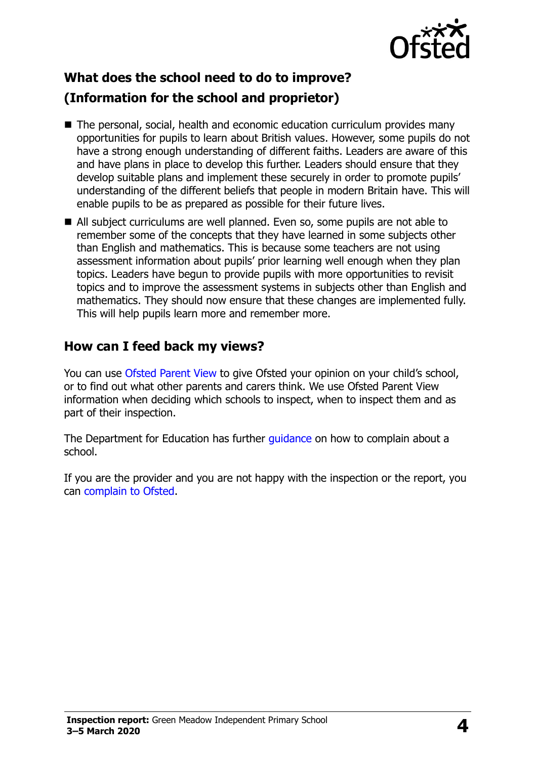

## **What does the school need to do to improve? (Information for the school and proprietor)**

- The personal, social, health and economic education curriculum provides many opportunities for pupils to learn about British values. However, some pupils do not have a strong enough understanding of different faiths. Leaders are aware of this and have plans in place to develop this further. Leaders should ensure that they develop suitable plans and implement these securely in order to promote pupils' understanding of the different beliefs that people in modern Britain have. This will enable pupils to be as prepared as possible for their future lives.
- All subject curriculums are well planned. Even so, some pupils are not able to remember some of the concepts that they have learned in some subjects other than English and mathematics. This is because some teachers are not using assessment information about pupils' prior learning well enough when they plan topics. Leaders have begun to provide pupils with more opportunities to revisit topics and to improve the assessment systems in subjects other than English and mathematics. They should now ensure that these changes are implemented fully. This will help pupils learn more and remember more.

### **How can I feed back my views?**

You can use [Ofsted Parent View](http://parentview.ofsted.gov.uk/) to give Ofsted your opinion on your child's school, or to find out what other parents and carers think. We use Ofsted Parent View information when deciding which schools to inspect, when to inspect them and as part of their inspection.

The Department for Education has further quidance on how to complain about a school.

If you are the provider and you are not happy with the inspection or the report, you can [complain to Ofsted.](http://www.gov.uk/complain-ofsted-report)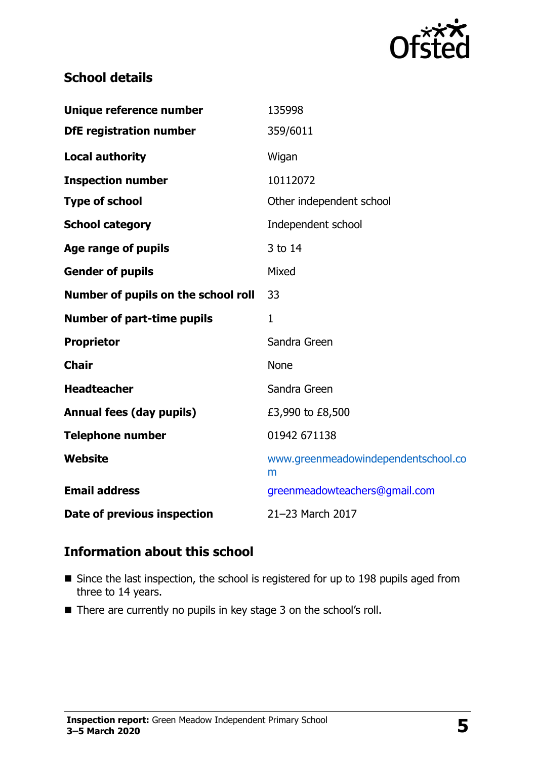

#### **School details**

| Unique reference number             | 135998                                   |
|-------------------------------------|------------------------------------------|
| <b>DfE registration number</b>      | 359/6011                                 |
| <b>Local authority</b>              | Wigan                                    |
| <b>Inspection number</b>            | 10112072                                 |
| <b>Type of school</b>               | Other independent school                 |
| <b>School category</b>              | Independent school                       |
| Age range of pupils                 | 3 to 14                                  |
| <b>Gender of pupils</b>             | Mixed                                    |
| Number of pupils on the school roll | 33                                       |
| <b>Number of part-time pupils</b>   | $\mathbf{1}$                             |
| <b>Proprietor</b>                   | Sandra Green                             |
| <b>Chair</b>                        | None                                     |
| <b>Headteacher</b>                  | Sandra Green                             |
| <b>Annual fees (day pupils)</b>     | £3,990 to £8,500                         |
| <b>Telephone number</b>             | 01942 671138                             |
| Website                             | www.greenmeadowindependentschool.co<br>m |
| <b>Email address</b>                | greenmeadowteachers@gmail.com            |
| Date of previous inspection         | 21-23 March 2017                         |

#### **Information about this school**

- Since the last inspection, the school is registered for up to 198 pupils aged from three to 14 years.
- There are currently no pupils in key stage 3 on the school's roll.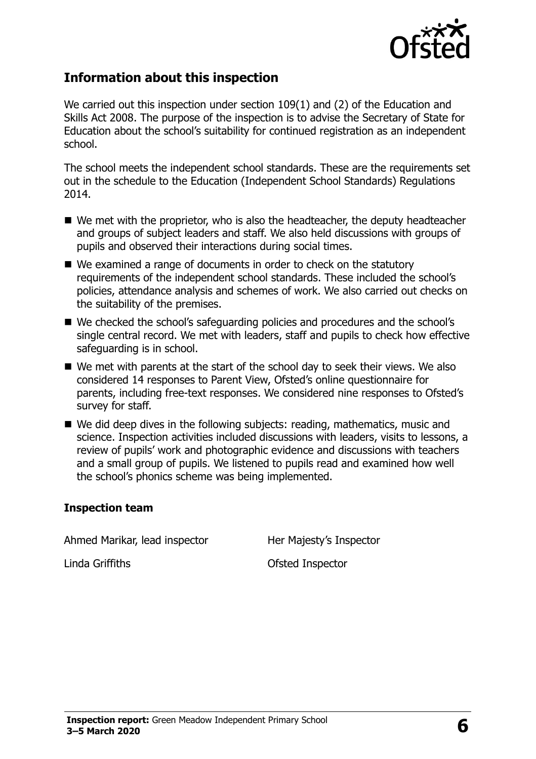

#### **Information about this inspection**

We carried out this inspection under section 109(1) and (2) of the Education and Skills Act 2008. The purpose of the inspection is to advise the Secretary of State for Education about the school's suitability for continued registration as an independent school.

The school meets the independent school standards. These are the requirements set out in the schedule to the Education (Independent School Standards) Regulations 2014.

- We met with the proprietor, who is also the headteacher, the deputy headteacher and groups of subject leaders and staff. We also held discussions with groups of pupils and observed their interactions during social times.
- We examined a range of documents in order to check on the statutory requirements of the independent school standards. These included the school's policies, attendance analysis and schemes of work. We also carried out checks on the suitability of the premises.
- We checked the school's safeguarding policies and procedures and the school's single central record. We met with leaders, staff and pupils to check how effective safeguarding is in school.
- We met with parents at the start of the school day to seek their views. We also considered 14 responses to Parent View, Ofsted's online questionnaire for parents, including free-text responses. We considered nine responses to Ofsted's survey for staff.
- We did deep dives in the following subjects: reading, mathematics, music and science. Inspection activities included discussions with leaders, visits to lessons, a review of pupils' work and photographic evidence and discussions with teachers and a small group of pupils. We listened to pupils read and examined how well the school's phonics scheme was being implemented.

#### **Inspection team**

Ahmed Marikar, lead inspector **Her Majesty's Inspector** 

Linda Griffiths **Contact Contact Contact Contact Contact Contact Contact Contact Contact Contact Contact Contact Contact Contact Contact Contact Contact Contact Contact Contact Contact Contact Contact Contact Contact Conta**